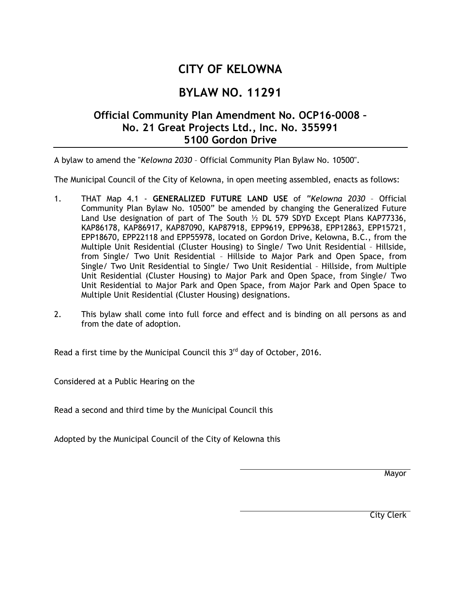## **CITY OF KELOWNA**

## **BYLAW NO. 11291**

## **Official Community Plan Amendment No. OCP16-0008 – No. 21 Great Projects Ltd., Inc. No. 355991 5100 Gordon Drive**

A bylaw to amend the "*Kelowna 2030* – Official Community Plan Bylaw No. 10500".

The Municipal Council of the City of Kelowna, in open meeting assembled, enacts as follows:

- 1. THAT Map 4.1 **GENERALIZED FUTURE LAND USE** of "*Kelowna 2030* Official Community Plan Bylaw No. 10500" be amended by changing the Generalized Future Land Use designation of part of The South ½ DL 579 SDYD Except Plans KAP77336, KAP86178, KAP86917, KAP87090, KAP87918, EPP9619, EPP9638, EPP12863, EPP15721, EPP18670, EPP22118 and EPP55978, located on Gordon Drive, Kelowna, B.C., from the Multiple Unit Residential (Cluster Housing) to Single/ Two Unit Residential – Hillside, from Single/ Two Unit Residential – Hillside to Major Park and Open Space, from Single/ Two Unit Residential to Single/ Two Unit Residential – Hillside, from Multiple Unit Residential (Cluster Housing) to Major Park and Open Space, from Single/ Two Unit Residential to Major Park and Open Space, from Major Park and Open Space to Multiple Unit Residential (Cluster Housing) designations.
- 2. This bylaw shall come into full force and effect and is binding on all persons as and from the date of adoption.

Read a first time by the Municipal Council this  $3<sup>rd</sup>$  day of October, 2016.

Considered at a Public Hearing on the

Read a second and third time by the Municipal Council this

Adopted by the Municipal Council of the City of Kelowna this

**Mayor** 

City Clerk